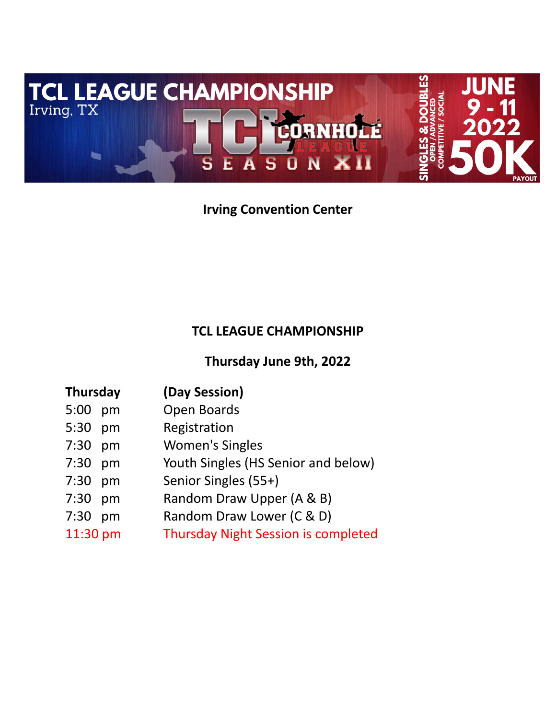

# **Irving Convention Center**

## **TCL LEAGUE CHAMPIONSHIP**

**Thursday June 9th, 2022**

| <b>Thursday</b> | (Day Session)                              |  |  |
|-----------------|--------------------------------------------|--|--|
| 5:00 pm         | Open Boards                                |  |  |
| 5:30 pm         | Registration                               |  |  |
| 7:30 pm         | <b>Women's Singles</b>                     |  |  |
| 7:30 pm         | Youth Singles (HS Senior and below)        |  |  |
| 7:30 pm         | Senior Singles (55+)                       |  |  |
| 7:30 pm         | Random Draw Upper (A & B)                  |  |  |
| 7:30 pm         | Random Draw Lower (C & D)                  |  |  |
| 11:30 pm        | <b>Thursday Night Session is completed</b> |  |  |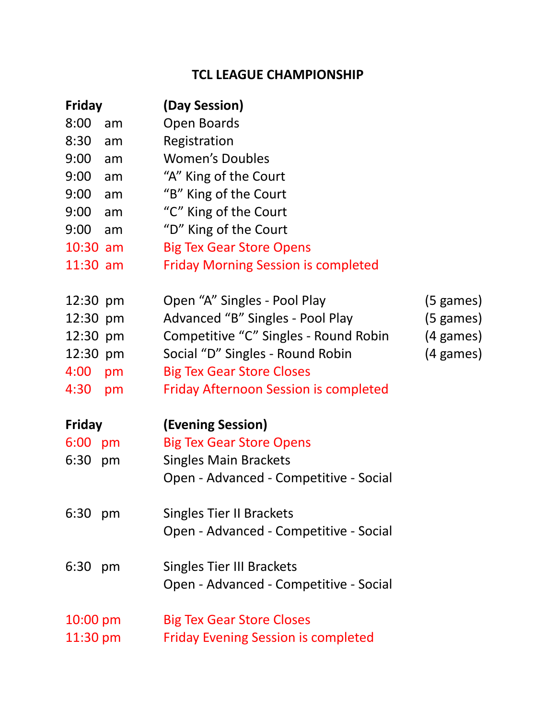## **TCL LEAGUE CHAMPIONSHIP**

| <b>Friday</b> |    | (Day Session)                                |                     |
|---------------|----|----------------------------------------------|---------------------|
| 8:00          | am | Open Boards                                  |                     |
| 8:30          | am | Registration                                 |                     |
| 9:00          | am | <b>Women's Doubles</b>                       |                     |
| 9:00          | am | "A" King of the Court                        |                     |
| 9:00          | am | "B" King of the Court                        |                     |
| 9:00          | am | "C" King of the Court                        |                     |
| 9:00          | am | "D" King of the Court                        |                     |
| $10:30$ am    |    | <b>Big Tex Gear Store Opens</b>              |                     |
| $11:30$ am    |    | <b>Friday Morning Session is completed</b>   |                     |
| 12:30 pm      |    | Open "A" Singles - Pool Play                 | $(5 \text{ games})$ |
| 12:30 pm      |    | Advanced "B" Singles - Pool Play             | $(5 \text{ games})$ |
| 12:30 pm      |    | Competitive "C" Singles - Round Robin        | $(4 \text{ games})$ |
| 12:30 pm      |    | Social "D" Singles - Round Robin             | (4 games)           |
| 4:00          | pm | <b>Big Tex Gear Store Closes</b>             |                     |
| 4:30          | pm | <b>Friday Afternoon Session is completed</b> |                     |
| <b>Friday</b> |    | (Evening Session)                            |                     |
| 6:00 pm       |    | <b>Big Tex Gear Store Opens</b>              |                     |
| 6:30          | pm | <b>Singles Main Brackets</b>                 |                     |
|               |    | Open - Advanced - Competitive - Social       |                     |
| 6:30          | pm | <b>Singles Tier II Brackets</b>              |                     |
|               |    | Open - Advanced - Competitive - Social       |                     |
| 6:30          | pm | <b>Singles Tier III Brackets</b>             |                     |
|               |    | Open - Advanced - Competitive - Social       |                     |
| 10:00 pm      |    | <b>Big Tex Gear Store Closes</b>             |                     |
| $11:30$ pm    |    | <b>Friday Evening Session is completed</b>   |                     |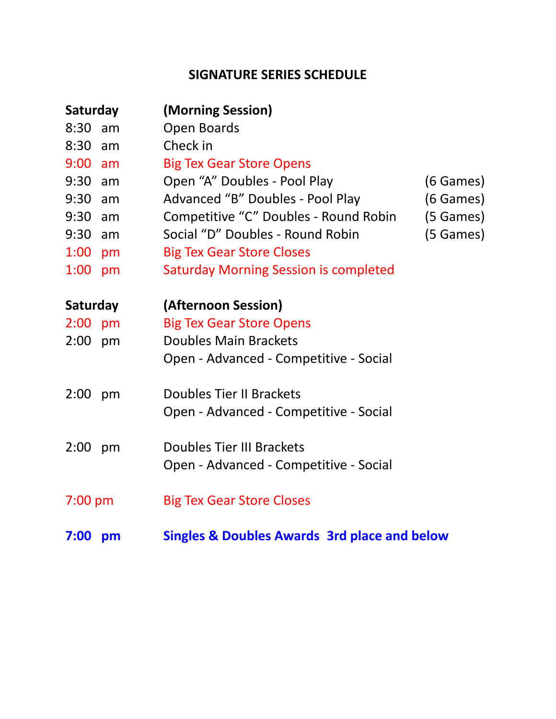## **SIGNATURE SERIES SCHEDULE**

| Saturday  |    | (Morning Session)                                       |
|-----------|----|---------------------------------------------------------|
| $8:30$ am |    | Open Boards                                             |
| 8:30      | am | Check in                                                |
| $9:00$ am |    | <b>Big Tex Gear Store Opens</b>                         |
| $9:30$ am |    | Open "A" Doubles - Pool Play<br>(6 Games)               |
| $9:30$ am |    | Advanced "B" Doubles - Pool Play<br>(6 Games)           |
| $9:30$ am |    | Competitive "C" Doubles - Round Robin<br>(5 Games)      |
| $9:30$ am |    | Social "D" Doubles - Round Robin<br>(5 Games)           |
| 1:00      | pm | <b>Big Tex Gear Store Closes</b>                        |
| 1:00      | pm | <b>Saturday Morning Session is completed</b>            |
| Saturday  |    | (Afternoon Session)                                     |
| $2:00$ pm |    | <b>Big Tex Gear Store Opens</b>                         |
| $2:00$ pm |    | <b>Doubles Main Brackets</b>                            |
|           |    | Open - Advanced - Competitive - Social                  |
| $2:00$ pm |    | Doubles Tier II Brackets                                |
|           |    | Open - Advanced - Competitive - Social                  |
| $2:00$ pm |    | Doubles Tier III Brackets                               |
|           |    | Open - Advanced - Competitive - Social                  |
| $7:00$ pm |    | <b>Big Tex Gear Store Closes</b>                        |
| 7:00      | pm | <b>Singles &amp; Doubles Awards 3rd place and below</b> |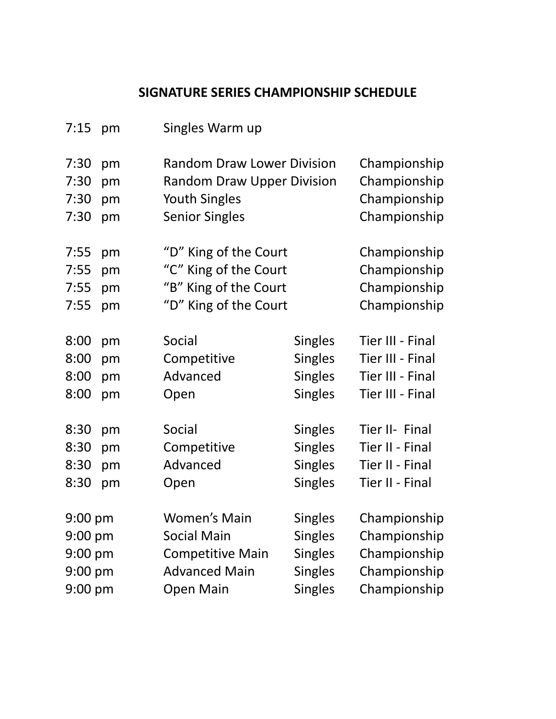# **SIGNATURE SERIES CHAMPIONSHIP SCHEDULE**

| 7:15              | pm | Singles Warm up                   |                |                  |
|-------------------|----|-----------------------------------|----------------|------------------|
| 7:30              | pm | <b>Random Draw Lower Division</b> |                | Championship     |
| 7:30              | pm | <b>Random Draw Upper Division</b> |                | Championship     |
| 7:30              | pm | <b>Youth Singles</b>              |                | Championship     |
| 7:30              | pm | <b>Senior Singles</b>             |                | Championship     |
| 7:55              | pm | "D" King of the Court             |                | Championship     |
| 7:55              | pm | "C" King of the Court             |                | Championship     |
| 7:55              | pm | "B" King of the Court             |                | Championship     |
| 7:55              | pm | "D" King of the Court             |                | Championship     |
| 8:00              | pm | Social                            | <b>Singles</b> | Tier III - Final |
| 8:00              | pm | Competitive                       | <b>Singles</b> | Tier III - Final |
| 8:00              | pm | Advanced                          | <b>Singles</b> | Tier III - Final |
| 8:00              | pm | Open                              | <b>Singles</b> | Tier III - Final |
| 8:30              | pm | Social                            | <b>Singles</b> | Tier II- Final   |
| 8:30              | pm | Competitive                       | <b>Singles</b> | Tier II - Final  |
| 8:30              | pm | Advanced                          | <b>Singles</b> | Tier II - Final  |
| 8:30              | pm | Open                              | <b>Singles</b> | Tier II - Final  |
| $9:00$ pm         |    | <b>Women's Main</b>               | <b>Singles</b> | Championship     |
| $9:00 \text{ pm}$ |    | <b>Social Main</b>                | <b>Singles</b> | Championship     |
| $9:00$ pm         |    | <b>Competitive Main</b>           | <b>Singles</b> | Championship     |
| $9:00$ pm         |    | <b>Advanced Main</b>              | <b>Singles</b> | Championship     |
| $9:00$ pm         |    | <b>Open Main</b>                  | <b>Singles</b> | Championship     |